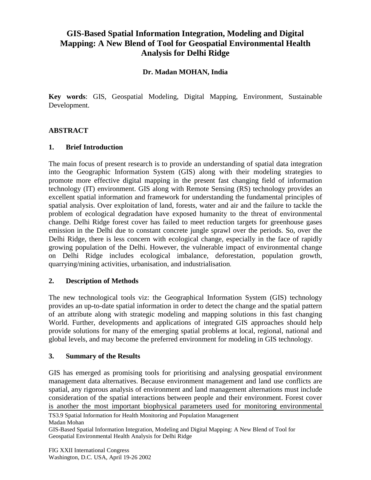# **GIS-Based Spatial Information Integration, Modeling and Digital Mapping: A New Blend of Tool for Geospatial Environmental Health Analysis for Delhi Ridge**

## **Dr. Madan MOHAN, India**

**Key words**: GIS, Geospatial Modeling, Digital Mapping, Environment, Sustainable Development.

### **ABSTRACT**

#### **1. Brief Introduction**

The main focus of present research is to provide an understanding of spatial data integration into the Geographic Information System (GIS) along with their modeling strategies to promote more effective digital mapping in the present fast changing field of information technology (IT) environment. GIS along with Remote Sensing (RS) technology provides an excellent spatial information and framework for understanding the fundamental principles of spatial analysis. Over exploitation of land, forests, water and air and the failure to tackle the problem of ecological degradation have exposed humanity to the threat of environmental change. Delhi Ridge forest cover has failed to meet reduction targets for greenhouse gases emission in the Delhi due to constant concrete jungle sprawl over the periods. So, over the Delhi Ridge, there is less concern with ecological change, especially in the face of rapidly growing population of the Delhi. However, the vulnerable impact of environmental change on Delhi Ridge includes ecological imbalance, deforestation, population growth, quarrying/mining activities, urbanisation, and industrialisation.

#### **2. Description of Methods**

The new technological tools viz: the Geographical Information System (GIS) technology provides an up-to-date spatial information in order to detect the change and the spatial pattern of an attribute along with strategic modeling and mapping solutions in this fast changing World. Further, developments and applications of integrated GIS approaches should help provide solutions for many of the emerging spatial problems at local, regional, national and global levels, and may become the preferred environment for modeling in GIS technology.

#### **3. Summary of the Results**

GIS has emerged as promising tools for prioritising and analysing geospatial environment management data alternatives. Because environment management and land use conflicts are spatial, any rigorous analysis of environment and land management alternations must include consideration of the spatial interactions between people and their environment. Forest cover is another the most important biophysical parameters used for monitoring environmental

TS3.9 Spatial Information for Health Monitoring and Population Management Madan Mohan

GIS-Based Spatial Information Integration, Modeling and Digital Mapping: A New Blend of Tool for Geospatial Environmental Health Analysis for Delhi Ridge